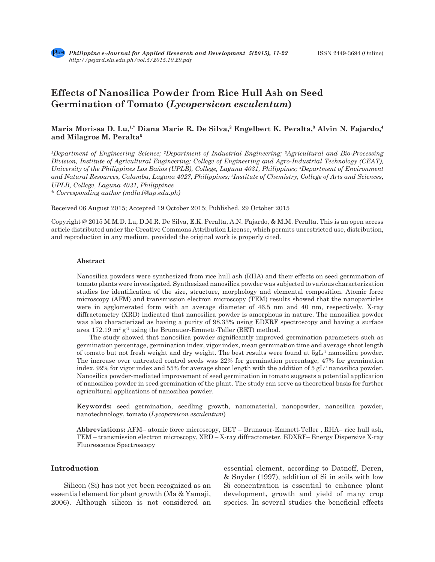# **Effects of Nanosilica Powder from Rice Hull Ash on Seed Germination of Tomato (***Lycopersicon esculentum***)**

# **Maria Morissa D. Lu,1,\* Diana Marie R. De Silva,2 Engelbert K. Peralta,3 Alvin N. Fajardo,4 and Milagros M. Peralta5**

*1 Department of Engineering Science; 2 Department of Industrial Engineering; 3 Agricultural and Bio-Processing Division, Institute of Agricultural Engineering; College of Engineering and Agro-Industrial Technology (CEAT), University of the Philippines Los Baños (UPLB), College, Laguna 4031, Philippines; 4 Department of Environment and Natural Resources, Calamba, Laguna 4027, Philippines; 5 Institute of Chemistry, College of Arts and Sciences, UPLB, College, Laguna 4031, Philippines*

*\* Corresponding author (mdlu1@up.edu.ph)*

Received 06 August 2015; Accepted 19 October 2015; Published, 29 October 2015

Copyright @ 2015 M.M.D. Lu, D.M.R. De Silva, E.K. Peralta, A.N. Fajardo, & M.M. Peralta. This is an open access article distributed under the Creative Commons Attribution License, which permits unrestricted use, distribution, and reproduction in any medium, provided the original work is properly cited.

## **Abstract**

Nanosilica powders were synthesized from rice hull ash (RHA) and their effects on seed germination of tomato plants were investigated. Synthesized nanosilica powder was subjected to various characterization studies for identification of the size, structure, morphology and elemental composition. Atomic force microscopy (AFM) and transmission electron microscopy (TEM) results showed that the nanoparticles were in agglomerated form with an average diameter of 46.5 nm and 40 nm, respectively. X-ray diffractometry (XRD) indicated that nanosilica powder is amorphous in nature. The nanosilica powder was also characterized as having a purity of 98.33% using EDXRF spectroscopy and having a surface area 172.19 m<sup>2</sup> g<sup>-1</sup> using the Brunauer-Emmett-Teller (BET) method.

The study showed that nanosilica powder significantly improved germination parameters such as germination percentage, germination index, vigor index, mean germination time and average shoot length of tomato but not fresh weight and dry weight. The best results were found at  $5gL<sup>1</sup>$  nanosilica powder. The increase over untreated control seeds was 22% for germination percentage, 47% for germination index, 92% for vigor index and 55% for average shoot length with the addition of 5 gL<sup>-1</sup> nanosilica powder. Nanosilica powder-mediated improvement of seed germination in tomato suggests a potential application of nanosilica powder in seed germination of the plant. The study can serve as theoretical basis for further agricultural applications of nanosilica powder.

**Keywords:** seed germination, seedling growth, nanomaterial, nanopowder, nanosilica powder, nanotechnology, tomato (*Lycopersicon esculentum*)

**Abbreviations:** AFM– atomic force microscopy, BET – Brunauer-Emmett-Teller , RHA– rice hull ash, TEM – transmission electron microscopy, XRD – X-ray diffractometer, EDXRF– Energy Dispersive X-ray Fluorescence Spectroscopy

# **Introduction**

Silicon (Si) has not yet been recognized as an essential element for plant growth (Ma & Yamaji, 2006). Although silicon is not considered an essential element, according to Datnoff, Deren, & Snyder (1997), addition of Si in soils with low Si concentration is essential to enhance plant development, growth and yield of many crop species. In several studies the beneficial effects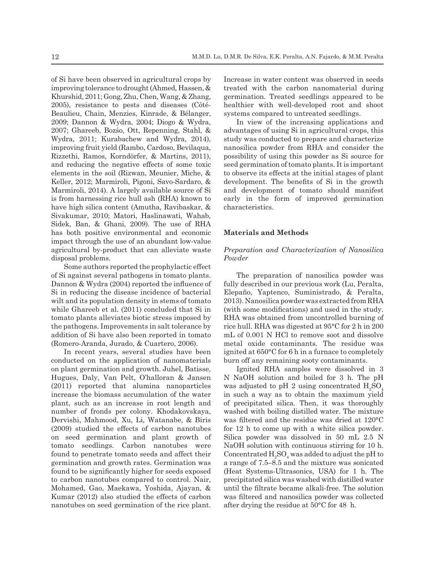of Si have been observed in agricultural crops by improving tolerance to drought (Ahmed*,* Hassen, & Khurshid, 2011; Gong*,* Zhu, Chen, Wang, & Zhang, 2005), resistance to pests and diseases (Côté-Beaulieu, Chain, Menzies, Kinrade, & Bélanger, 2009; Dannon & Wydra, 2004; Diogo & Wydra, 2007; Ghareeb, Bozśo, Ott, Repenning, Stahl, & Wydra, 2011; Kurabachew and Wydra, 2014), improving fruit yield (Rambo, Cardoso, Bevilaqua, Rizzethi, Ramos, Korndörfer, & Martins, 2011), and reducing the negative effects of some toxic elements in the soil (Rizwan, Meunier, Miche, & Keller, 2012; Marmiroli, Pigoni, Savo-Sardaro, & Marmiroli, 2014). A largely available source of Si is from harnessing rice hull ash (RHA) known to have high silica content (Amutha, Ravibaskar, & Sivakumar, 2010; Matori, Haslinawati, Wahab, Sidek, Ban, & Ghani, 2009). The use of RHA has both positive environmental and economic impact through the use of an abundant low-value agricultural by-product that can alleviate waste disposal problems.

Some authors reported the prophylactic effect of Si against several pathogens in tomato plants. Dannon & Wydra (2004) reported the influence of Si in reducing the disease incidence of bacterial wilt and its population density in stems of tomato while Ghareeb et al. (2011) concluded that Si in tomato plants alleviates biotic stress imposed by the pathogens. Improvements in salt tolerance by addition of Si have also been reported in tomato (Romero-Aranda, Jurado, & Cuartero, 2006).

In recent years, several studies have been conducted on the application of nanomaterials on plant germination and growth. Juhel, Batisse, Hugues, Daly, Van Pelt, O'halloran & Jansen (2011) reported that alumina nanoparticles increase the biomass accumulation of the water plant, such as an increase in root length and number of fronds per colony. Khodakovskaya, Dervishi, Mahmood, Xu, Li, Watanabe, & Biris (2009) studied the effects of carbon nanotubes on seed germination and plant growth of tomato seedlings. Carbon nanotubes were found to penetrate tomato seeds and affect their germination and growth rates. Germination was found to be significantly higher for seeds exposed to carbon nanotubes compared to control. Nair, Mohamed, Gao, Maekawa, Yoshida, Ajayan, & Kumar (2012) also studied the effects of carbon nanotubes on seed germination of the rice plant.

Increase in water content was observed in seeds treated with the carbon nanomaterial during germination. Treated seedlings appeared to be healthier with well-developed root and shoot systems compared to untreated seedlings.

In view of the increasing applications and advantages of using Si in agricultural crops, this study was conducted to prepare and characterize nanosilica powder from RHA and consider the possibility of using this powder as Si source for seed germination of tomato plants. It is important to observe its effects at the initial stages of plant development. The benefits of Si in the growth and development of tomato should manifest early in the form of improved germination characteristics.

## **Materials and Methods**

# *Preparation and Characterization of Nanosilica Powder*

The preparation of nanosilica powder was fully described in our previous work (Lu, Peralta, Elepaño, Yaptenco, Suministrado, & Peralta, 2013). Nanosilica powder was extracted from RHA (with some modifications) and used in the study. RHA was obtained from uncontrolled burning of rice hull. RHA was digested at 95°C for 2 h in 200 mL of 0.001 N HCl to remove soot and dissolve metal oxide contaminants. The residue was ignited at 650°C for 6 h in a furnace to completely burn off any remaining sooty contaminants.

Ignited RHA samples were dissolved in 3 N NaOH solution and boiled for 3 h. The pH was adjusted to pH 2 using concentrated  $\rm{H}_{2}SO_{4}$ in such a way as to obtain the maximum yield of precipitated silica. Then, it was thoroughly washed with boiling distilled water. The mixture was filtered and the residue was dried at 120°C for 12 h to come up with a white silica powder. Silica powder was dissolved in 50 mL 2.5 N NaOH solution with continuous stirring for 10 h. Concentrated  $\rm H_2SO_4$  was added to adjust the pH to a range of 7.5–8.5 and the mixture was sonicated (Heat Systems-Ultrasonics, USA) for 1 h. The precipitated silica was washed with distilled water until the filtrate became alkali-free. The solution was filtered and nanosilica powder was collected after drying the residue at 50°C for 48 h.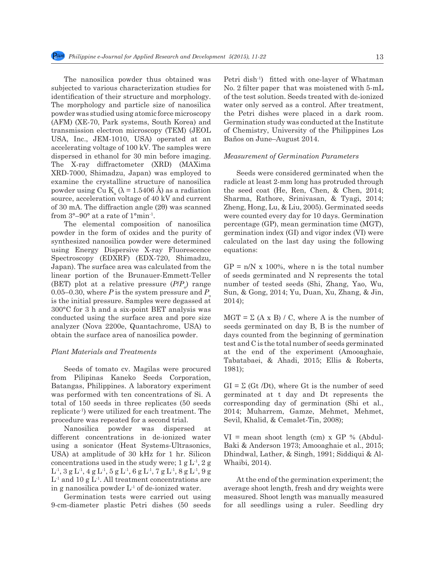The nanosilica powder thus obtained was subjected to various characterization studies for identification of their structure and morphology. The morphology and particle size of nanosilica powder was studied using atomic force microscopy (AFM) (XE-70, Park systems, South Korea) and transmission electron microscopy (TEM) (JEOL USA, Inc., JEM-1010, USA) operated at an accelerating voltage of 100 kV. The samples were dispersed in ethanol for 30 min before imaging. The X-ray diffractometer (XRD) (MAXima XRD-7000, Shimadzu, Japan) was employed to examine the crystalline structure of nanosilica powder using Cu  $K_a$  ( $λ = 1.5406$  Å) as a radiation source, acceleration voltage of 40 kV and current of 30 mA. The diffraction angle (2θ) was scanned from 3°–90° at a rate of 1°min-1.

The elemental composition of nanosilica powder in the form of oxides and the purity of synthesized nanosilica powder were determined using Energy Dispersive X-ray Fluorescence Spectroscopy (EDXRF) (EDX-720, Shimadzu, Japan). The surface area was calculated from the linear portion of the Brunauer-Emmett-Teller (BET) plot at a relative pressure (*P*/*P*<sub>o</sub>) range 0.05–0.30, where *P* is the system pressure and  $P_{\rho}$ is the initial pressure. Samples were degassed at 300°C for 3 h and a six-point BET analysis was conducted using the surface area and pore size analyzer (Nova 2200e, Quantachrome, USA) to obtain the surface area of nanosilica powder.

#### *Plant Materials and Treatments*

Seeds of tomato cv. Magilas were procured from Pilipinas Kaneko Seeds Corporation, Batangas, Philippines. A laboratory experiment was performed with ten concentrations of Si. A total of 150 seeds in three replicates (50 seeds replicate-1) were utilized for each treatment. The procedure was repeated for a second trial.

Nanosilica powder was dispersed at different concentrations in de-ionized water using a sonicator (Heat Systems-Ultrasonics, USA) at amplitude of 30 kHz for 1 hr. Silicon concentrations used in the study were;  $1 g L<sup>1</sup>, 2 g$  $\mathrm{L}^{\text{-}1}\!,\,3\,\mathrm{g}\,\mathrm{L}^{\text{-}1}\!,\,4\,\mathrm{g}\,\mathrm{L}^{\text{-}1}\!,\,5\,\mathrm{g}\,\mathrm{L}^{\text{-}1}\!,\,6\,\mathrm{g}\,\mathrm{L}^{\text{-}1}\!,\,7\,\mathrm{g}\,\mathrm{L}^{\text{-}1}\!,\,8\,\mathrm{g}\,\mathrm{L}^{\text{-}1}\!,\,9\,\mathrm{g}$  $L<sup>1</sup>$  and 10 g  $L<sup>1</sup>$ . All treatment concentrations are in g nanosilica powder  $L^1$  of de-ionized water.

Germination tests were carried out using 9-cm-diameter plastic Petri dishes (50 seeds Petri dish<sup>-1</sup>) fitted with one-layer of Whatman No. 2 filter paper that was moistened with 5-mL of the test solution. Seeds treated with de-ionized water only served as a control. After treatment, the Petri dishes were placed in a dark room. Germination study was conducted at the Institute of Chemistry, University of the Philippines Los Baños on June–August 2014.

### *Measurement of Germination Parameters*

Seeds were considered germinated when the radicle at least 2-mm long has protruded through the seed coat (He, Ren, Chen, & Chen, 2014; Sharma, Rathore, Srinivasan, & Tyagi, 2014; Zheng, Hong, Lu, & Liu, 2005). Germinated seeds were counted every day for 10 days. Germination percentage (GP), mean germination time (MGT), germination index (GI) and vigor index (VI) were calculated on the last day using the following equations:

 $GP = n/N \times 100\%$ , where n is the total number of seeds germinated and N represents the total number of tested seeds (Shi, Zhang, Yao, Wu, Sun, & Gong, 2014; Yu, Duan, Xu, Zhang, & Jin, 2014);

 $MGT = \Sigma (A \times B) / C$ , where A is the number of seeds germinated on day B, B is the number of days counted from the beginning of germination test and C is the total number of seeds germinated at the end of the experiment (Amooaghaie, Tabatabaei, & Ahadi, 2015; Ellis & Roberts, 1981);

 $GI = \Sigma$  (Gt /Dt), where Gt is the number of seed germinated at t day and Dt represents the corresponding day of germination (Shi et al., 2014; Muharrem, Gamze, Mehmet, Mehmet, Sevil, Khalid, & Cemalet-Tin, 2008);

 $VI$  = mean shoot length (cm) x GP % (Abdul-Baki & Anderson 1973; Amooaghaie et al., 2015; Dhindwal, Lather, & Singh, 1991; Siddiqui & Al-Whaibi, 2014).

At the end of the germination experiment; the average shoot length, fresh and dry weights were measured. Shoot length was manually measured for all seedlings using a ruler. Seedling dry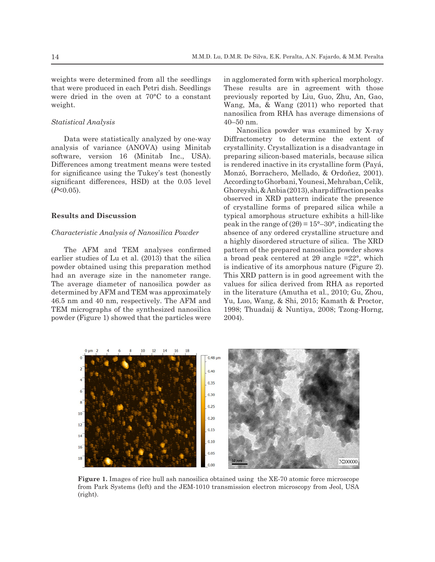weights were determined from all the seedlings that were produced in each Petri dish. Seedlings were dried in the oven at 70°C to a constant weight.

## *Statistical Analysis*

Data were statistically analyzed by one-way analysis of variance (ANOVA) using Minitab software, version 16 (Minitab Inc., USA). Differences among treatment means were tested for significance using the Tukey's test (honestly significant differences, HSD) at the 0.05 level (*P*<0.05).

## **Results and Discussion**

## *Characteristic Analysis of Nanosilica Powder*

The AFM and TEM analyses confirmed earlier studies of Lu et al. (2013) that the silica powder obtained using this preparation method had an average size in the nanometer range. The average diameter of nanosilica powder as determined by AFM and TEM was approximately 46.5 nm and 40 nm, respectively. The AFM and TEM micrographs of the synthesized nanosilica powder (Figure 1) showed that the particles were in agglomerated form with spherical morphology. These results are in agreement with those previously reported by Liu, Guo, Zhu, An, Gao, Wang, Ma, & Wang (2011) who reported that nanosilica from RHA has average dimensions of 40–50 nm.

Nanosilica powder was examined by X-ray Diffractometry to determine the extent of crystallinity. Crystallization is a disadvantage in preparing silicon-based materials, because silica is rendered inactive in its crystalline form (Payá, Monzó, Borrachero, Mellado, & Ordoñez, 2001). According to Ghorbani, Younesi, Mehraban, Celik, Ghoreyshi, & Anbia (2013), sharp diffraction peaks observed in XRD pattern indicate the presence of crystalline forms of prepared silica while a typical amorphous structure exhibits a hill-like peak in the range of  $(2\theta) = 15^{\circ} - 30^{\circ}$ , indicating the absence of any ordered crystalline structure and a highly disordered structure of silica. The XRD pattern of the prepared nanosilica powder shows a broad peak centered at  $2\theta$  angle =22°, which is indicative of its amorphous nature (Figure 2). This XRD pattern is in good agreement with the values for silica derived from RHA as reported in the literature (Amutha et al., 2010; Gu, Zhou, Yu, Luo, Wang, & Shi, 2015; Kamath & Proctor, 1998; Thuadaij & Nuntiya, 2008; Tzong-Horng, 2004).



**Figure 1.** Images of rice hull ash nanosilica obtained using the XE-70 atomic force microscope from Park Systems (left) and the JEM-1010 transmission electron microscopy from Jeol, USA (right).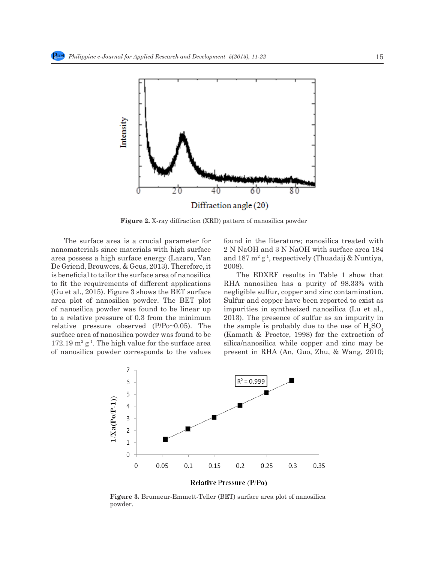

**Figure 2.** X-ray diffraction (XRD) pattern of nanosilica powder

The surface area is a crucial parameter for nanomaterials since materials with high surface area possess a high surface energy (Lazaro, Van De Griend, Brouwers, & Geus, 2013). Therefore, it is beneficial to tailor the surface area of nanosilica to fit the requirements of different applications (Gu et al., 2015). Figure 3 shows the BET surface area plot of nanosilica powder. The BET plot of nanosilica powder was found to be linear up to a relative pressure of 0.3 from the minimum relative pressure observed (P/Po~0.05). The surface area of nanosilica powder was found to be  $172.19 \text{ m}^2 \text{ g}^{-1}$ . The high value for the surface area of nanosilica powder corresponds to the values

found in the literature; nanosilica treated with 2 N NaOH and 3 N NaOH with surface area 184 and 187 m2 g-1, respectively (Thuadaij & Nuntiya, 2008).

The EDXRF results in Table 1 show that RHA nanosilica has a purity of 98.33% with negligible sulfur, copper and zinc contamination. Sulfur and copper have been reported to exist as impurities in synthesized nanosilica (Lu et al., 2013). The presence of sulfur as an impurity in the sample is probably due to the use of  $\rm H_2SO_4$ (Kamath & Proctor, 1998) for the extraction of silica/nanosilica while copper and zinc may be present in RHA (An, Guo, Zhu, & Wang, 2010;



**Figure 3.** Brunaeur-Emmett-Teller (BET) surface area plot of nanosilica powder.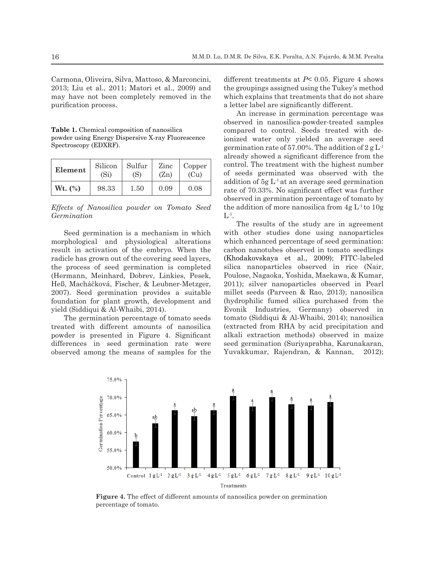Carmona, Oliveira, Silva, Mattoso, & Marconcini, 2013; Liu et al., 2011; Matori et al., 2009) and may have not been completely removed in the purification process.

**Table 1.** Chemical composition of nanosilica powder using Energy Dispersive X-ray Fluorescence Spectroscopy (EDXRF).

| Element   | Silicon           | Sulfur | Zinc | Copper |
|-----------|-------------------|--------|------|--------|
|           | (S <sub>i</sub> ) | (S)    | (Zn) | (Cu)   |
| $Wt.$ (%) | 98.33             | 1.50   | 0.09 | 0.08   |

*Effects of Nanosilica powder on Tomato Seed Germination*

Seed germination is a mechanism in which morphological and physiological alterations result in activation of the embryo. When the radicle has grown out of the covering seed layers, the process of seed germination is completed (Hermann, Meinhard, Dobrev, Linkies, Pesek, Heß, Macháčková, Fischer, & Leubner-Metzger, 2007). Seed germination provides a suitable foundation for plant growth, development and yield (Siddiqui & Al-Whaibi, 2014).

The germination percentage of tomato seeds treated with different amounts of nanosilica powder is presented in Figure 4. Significant differences in seed germination rate were observed among the means of samples for the different treatments at  $P \leq 0.05$ . Figure 4 shows the groupings assigned using the Tukey's method which explains that treatments that do not share a letter label are significantly different.

An increase in germination percentage was observed in nanosilica-powder-treated samples compared to control. Seeds treated with deionized water only yielded an average seed germination rate of 57.00%. The addition of  $2 g L<sup>1</sup>$ already showed a significant difference from the control. The treatment with the highest number of seeds germinated was observed with the addition of  $5g L<sup>1</sup>$  at an average seed germination rate of 70.33%. No significant effect was further observed in germination percentage of tomato by the addition of more nanosilica from  $4g L<sup>1</sup>$  to  $10g$  $L^{-1}$ .

The results of the study are in agreement with other studies done using nanoparticles which enhanced percentage of seed germination: carbon nanotubes observed in tomato seedlings (Khodakovskaya et al., 2009); FITC-labeled silica nanoparticles observed in rice (Nair, Poulose, Nagaoka, Yoshida, Maekawa, & Kumar, 2011); silver nanoparticles observed in Pearl millet seeds (Parveen & Rao, 2013); nanosilica (hydrophilic fumed silica purchased from the Evonik Industries, Germany) observed in tomato (Siddiqui & Al-Whaibi, 2014); nanosilica (extracted from RHA by acid precipitation and alkali extraction methods) observed in maize seed germination (Suriyaprabha, Karunakaran, Yuvakkumar, Rajendran, & Kannan, 2012);



**Figure 4.** The effect of different amounts of nanosilica powder on germination percentage of tomato.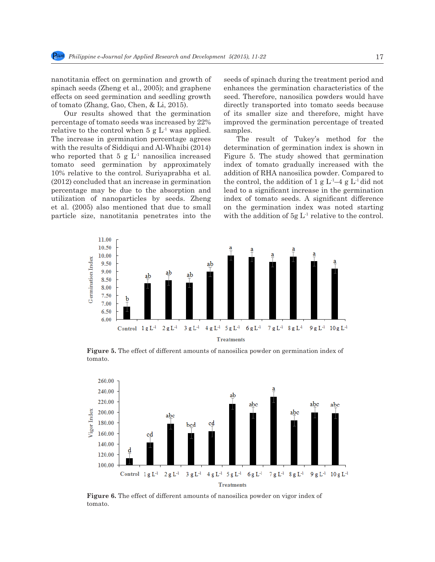nanotitania effect on germination and growth of spinach seeds (Zheng et al., 2005); and graphene effects on seed germination and seedling growth of tomato (Zhang, Gao, Chen, & Li, 2015).

Our results showed that the germination percentage of tomato seeds was increased by 22% relative to the control when  $5 \text{ g L}^1$  was applied. The increase in germination percentage agrees with the results of Siddiqui and Al-Whaibi (2014) who reported that 5 g  $L<sup>1</sup>$  nanosilica increased tomato seed germination by approximately 10% relative to the control. Suriyaprabha et al. (2012) concluded that an increase in germination percentage may be due to the absorption and utilization of nanoparticles by seeds. Zheng et al. (2005) also mentioned that due to small particle size, nanotitania penetrates into the seeds of spinach during the treatment period and enhances the germination characteristics of the seed. Therefore, nanosilica powders would have directly transported into tomato seeds because of its smaller size and therefore, might have improved the germination percentage of treated samples.

The result of Tukey's method for the determination of germination index is shown in Figure 5. The study showed that germination index of tomato gradually increased with the addition of RHA nanosilica powder. Compared to the control, the addition of 1 g  $L^1-4$  g  $L^1$  did not lead to a significant increase in the germination index of tomato seeds. A significant difference on the germination index was noted starting with the addition of  $5g L<sup>1</sup>$  relative to the control.



**Figure 5.** The effect of different amounts of nanosilica powder on germination index of tomato.



**Figure 6.** The effect of different amounts of nanosilica powder on vigor index of tomato.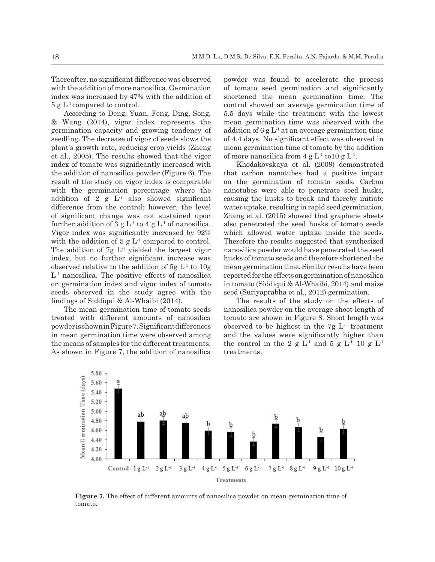Thereafter, no significant difference was observed with the addition of more nanosilica. Germination index was increased by 47% with the addition of  $5 g L<sup>1</sup>$  compared to control.

According to Deng, Yuan, Feng, Ding, Song, & Wang (2014), vigor index represents the germination capacity and growing tendency of seedling. The decrease of vigor of seeds slows the plant's growth rate, reducing crop yields (Zheng et al., 2005). The results showed that the vigor index of tomato was significantly increased with the addition of nanosilica powder (Figure 6). The result of the study on vigor index is comparable with the germination percentage where the addition of 2 g  $L^1$  also showed significant difference from the control; however, the level of significant change was not sustained upon further addition of 3 g  $L^1$  to 4 g  $L^1$  of nanosilica. Vigor index was significantly increased by 92% with the addition of 5 g  $L^1$  compared to control. The addition of  $7g L<sup>1</sup>$  yielded the largest vigor index, but no further significant increase was observed relative to the addition of  $5g L<sup>1</sup>$  to  $10g$  $L<sup>1</sup>$  nanosilica. The positive effects of nanosilica on germination index and vigor index of tomato seeds observed in the study agree with the findings of Siddiqui & Al-Whaibi (2014).

The mean germination time of tomato seeds treated with different amounts of nanosilica powder is shown in Figure 7. Significant differences in mean germination time were observed among the means of samples for the different treatments. As shown in Figure 7, the addition of nanosilica

powder was found to accelerate the process of tomato seed germination and significantly shortened the mean germination time. The control showed an average germination time of 5.5 days while the treatment with the lowest mean germination time was observed with the addition of  $6 \text{ g L}^1$  at an average germination time of 4.4 days. No significant effect was observed in mean germination time of tomato by the addition of more nanosilica from 4 g  $L^1$  to 10 g  $L^1$ .

Khodakovskaya et al. (2009) demonstrated that carbon nanotubes had a positive impact on the germination of tomato seeds. Carbon nanotubes were able to penetrate seed husks, causing the husks to break and thereby initiate water uptake, resulting in rapid seed germination. Zhang et al. (2015) showed that graphene sheets also penetrated the seed husks of tomato seeds which allowed water uptake inside the seeds. Therefore the results suggested that synthesized nanosilica powder would have penetrated the seed husks of tomato seeds and therefore shortened the mean germination time. Similar results have been reported for the effects on germination of nanosilica in tomato (Siddiqui & Al-Whaibi, 2014) and maize seed (Suriyaprabha et al., 2012) germination.

The results of the study on the effects of nanosilica powder on the average shoot length of tomato are shown in Figure 8. Shoot length was observed to be highest in the  $7g L<sup>1</sup>$  treatment and the values were significantly higher than the control in the 2 g  $L^1$  and 5 g  $L^1$ –10 g  $L^1$ treatments.



**Figure 7.** The effect of different amounts of nanosilica powder on mean germination time of tomato.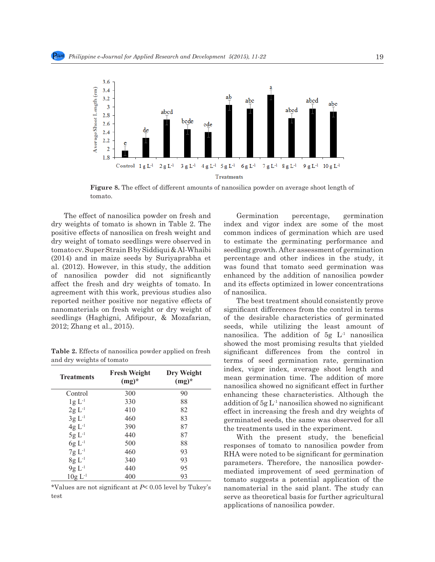

**Figure 8.** The effect of different amounts of nanosilica powder on average shoot length of tomato.

The effect of nanosilica powder on fresh and dry weights of tomato is shown in Table 2. The positive effects of nanosilica on fresh weight and dry weight of tomato seedlings were observed in tomato cv. Super Strain B by Siddiqui & Al-Whaibi (2014) and in maize seeds by Suriyaprabha et al. (2012). However, in this study, the addition of nanosilica powder did not significantly affect the fresh and dry weights of tomato. In agreement with this work, previous studies also reported neither positive nor negative effects of nanomaterials on fresh weight or dry weight of seedlings (Haghigni, Afifipour, & Mozafarian, 2012; Zhang et al., 2015).

| <b>Treatments</b> | <b>Fresh Weight</b><br>$(mg)^*$ | Dry Weight<br>$(mg)^*$ |
|-------------------|---------------------------------|------------------------|
| Control           | 300                             | 90                     |
| $1g L^{-1}$       | 330                             | 88                     |
| $2g L^{-1}$       | 410                             | 82                     |
| $3g L-1$          | 460                             | 83                     |
| $4g L^{-1}$       | 390                             | 87                     |
| $5g L-1$          | 440                             | 87                     |
| $6g L^{-1}$       | 500                             | 88                     |
| $7g L^{-1}$       | 460                             | 93                     |
| $8g L^{-1}$       | 340                             | 93                     |
| $9g L^{-1}$       | 440                             | 95                     |
| $10g L-1$         | 400                             | 93                     |

**Table 2.** Effects of nanosilica powder applied on fresh and dry weights of tomato

\*Values are not significant at *P*< 0.05 level by Tukey's test

Germination percentage, germination index and vigor index are some of the most common indices of germination which are used to estimate the germinating performance and seedling growth. After assessment of germination percentage and other indices in the study, it was found that tomato seed germination was enhanced by the addition of nanosilica powder and its effects optimized in lower concentrations of nanosilica.

The best treatment should consistently prove significant differences from the control in terms of the desirable characteristics of germinated seeds, while utilizing the least amount of nanosilica. The addition of  $5g L<sup>1</sup>$  nanosilica showed the most promising results that yielded significant differences from the control in terms of seed germination rate, germination index, vigor index, average shoot length and mean germination time. The addition of more nanosilica showed no significant effect in further enhancing these characteristics. Although the addition of  $5g L<sup>1</sup>$  nanosilica showed no significant effect in increasing the fresh and dry weights of germinated seeds, the same was observed for all the treatments used in the experiment.

With the present study, the beneficial responses of tomato to nanosilica powder from RHA were noted to be significant for germination parameters. Therefore, the nanosilica powdermediated improvement of seed germination of tomato suggests a potential application of the nanomaterial in the said plant. The study can serve as theoretical basis for further agricultural applications of nanosilica powder.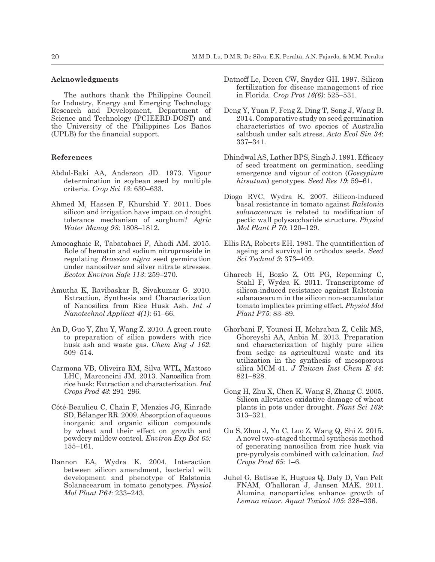# **Acknowledgments**

The authors thank the Philippine Council for Industry, Energy and Emerging Technology Research and Development, Department of Science and Technology (PCIEERD-DOST) and the University of the Philippines Los Baños (UPLB) for the financial support.

## **References**

- Abdul-Baki AA, Anderson JD. 1973. Vigour determination in soybean seed by multiple criteria. *Crop Sci 13*: 630–633.
- Ahmed M, Hassen F, Khurshid Y. 2011. Does silicon and irrigation have impact on drought tolerance mechanism of sorghum? *Agric Water Manag 98*: 1808–1812.
- Amooaghaie R, Tabatabaei F, Ahadi AM. 2015. Role of hematin and sodium nitroprusside in regulating *Brassica nigra* seed germination under nanosilver and silver nitrate stresses. *Ecotox Environ Safe 113*: 259–270.
- Amutha K, Ravibaskar R, Sivakumar G. 2010. Extraction, Synthesis and Characterization of Nanosilica from Rice Husk Ash. *Int J Nanotechnol Applicat 4(1)*: 61–66.
- An D, Guo Y, Zhu Y, Wang Z. 2010. A green route to preparation of silica powders with rice husk ash and waste gas. *Chem Eng J 162*: 509–514.
- Carmona VB, Oliveira RM, Silva WTL, Mattoso LHC, Marconcini JM. 2013. Nanosilica from rice husk: Extraction and characterization. *Ind Crops Prod 43*: 291–296.
- Côté-Beaulieu C, Chain F, Menzies JG, Kinrade SD, Bélanger RR. 2009. Absorption of aqueous inorganic and organic silicon compounds by wheat and their effect on growth and powdery mildew control. *Environ Exp Bot 65:* 155–161.
- Dannon EA, Wydra K. 2004. Interaction between silicon amendment, bacterial wilt development and phenotype of Ralstonia Solanacearum in tomato genotypes. *Physiol Mol Plant P64*: 233–243.
- Datnoff Le, Deren CW, Snyder GH. 1997. Silicon fertilization for disease management of rice in Florida. *Crop Prot 16(6)*: 525–531.
- Deng Y, Yuan F, Feng Z, Ding T, Song J, Wang B. 2014. Comparative study on seed germination characteristics of two species of Australia saltbush under salt stress. *Acta Ecol Sin 34*: 337–341.
- Dhindwal AS, Lather BPS, Singh J. 1991. Efficacy of seed treatment on germination, seedling emergence and vigour of cotton (*Gossypium hirsutum*) genotypes. *Seed Res 19*: 59–61.
- Diogo RVC, Wydra K. 2007. Silicon-induced basal resistance in tomato against *Ralstonia solanacearum* is related to modification of pectic wall polysaccharide structure. *Physiol Mol Plant P 70*: 120–129.
- Ellis RA, Roberts EH. 1981. The quantification of ageing and survival in orthodox seeds. *Seed Sci Technol 9*: 373–409.
- Ghareeb H, Bozśo Z, Ott PG, Repenning C, Stahl F, Wydra K. 2011. Transcriptome of silicon-induced resistance against Ralstonia solanacearum in the silicon non-accumulator tomato implicates priming effect. *Physiol Mol Plant P75*: 83–89.
- Ghorbani F, Younesi H, Mehraban Z, Celik MS, Ghoreyshi AA, Anbia M. 2013. Preparation and characterization of highly pure silica from sedge as agricultural waste and its utilization in the synthesis of mesoporous silica MCM-41. *J Taiwan Inst Chem E 44*: 821–828.
- Gong H, Zhu X, Chen K, Wang S, Zhang C. 2005. Silicon alleviates oxidative damage of wheat plants in pots under drought. *Plant Sci 169*: 313–321.
- Gu S, Zhou J, Yu C, Luo Z, Wang Q, Shi Z. 2015. A novel two-staged thermal synthesis method of generating nanosilica from rice husk via pre-pyrolysis combined with calcination. *Ind Crops Prod 65*: 1–6.
- Juhel G, Batisse E, Hugues Q, Daly D, Van Pelt FNAM, O'halloran J, Jansen MAK. 2011. Alumina nanoparticles enhance growth of *Lemna minor*. *Aquat Toxicol 105*: 328–336.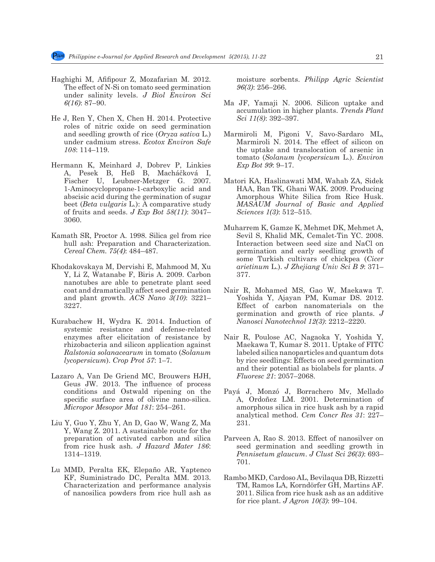- Haghighi M, Afifipour Z, Mozafarian M. 2012. The effect of N-Si on tomato seed germination under salinity levels. *J Biol Environ Sci 6(16)*: 87–90.
- He J, Ren Y, Chen X, Chen H. 2014. Protective roles of nitric oxide on seed germination and seedling growth of rice (*Oryza sativa* L.) under cadmium stress. *Ecotox Environ Safe 108*: 114–119.
- Hermann K, Meinhard J, Dobrev P, Linkies A, Pesek B, Heß B, Macháčková I, Fischer U, Leubner-Metzger G. 2007. 1-Aminocyclopropane-1-carboxylic acid and abscisic acid during the germination of sugar beet (*Beta vulgaris* L.): A comparative study of fruits and seeds. *J Exp Bot 58(11)*: 3047– 3060.
- Kamath SR, Proctor A. 1998. Silica gel from rice hull ash: Preparation and Characterization. *Cereal Chem. 75(4)*: 484–487.
- Khodakovskaya M, Dervishi E, Mahmood M, Xu Y, Li Z, Watanabe F, Biris A. 2009. Carbon nanotubes are able to penetrate plant seed coat and dramatically affect seed germination and plant growth. *ACS Nano 3(10)*: 3221– 3227.
- Kurabachew H, Wydra K. 2014. Induction of systemic resistance and defense-related enzymes after elicitation of resistance by rhizobacteria and silicon application against *Ralstonia solanacearum* in tomato (*Solanum lycopersicum*). *Crop Prot 57*: 1–7.
- Lazaro A, Van De Griend MC, Brouwers HJH, Geus JW. 2013. The influence of process conditions and Ostwald ripening on the specific surface area of olivine nano-silica. *Micropor Mesopor Mat 181*: 254–261.
- Liu Y, Guo Y, Zhu Y, An D, Gao W, Wang Z, Ma Y, Wang Z. 2011. A sustainable route for the preparation of activated carbon and silica from rice husk ash. *J Hazard Mater 186*: 1314–1319.
- Lu MMD, Peralta EK, Elepaño AR, Yaptenco KF, Suministrado DC, Peralta MM. 2013. Characterization and performance analysis of nanosilica powders from rice hull ash as

moisture sorbents. *Philipp Agric Scientist 96(3)*: 256–266.

- Ma JF, Yamaji N. 2006. Silicon uptake and accumulation in higher plants. *Trends Plant Sci 11(8)*: 392–397.
- Marmiroli M, Pigoni V, Savo-Sardaro ML, Marmiroli N. 2014. The effect of silicon on the uptake and translocation of arsenic in tomato (*Solanum lycopersicum* L.). *Environ Exp Bot 99*: 9–17.
- Matori KA, Haslinawati MM, Wahab ZA, Sidek HAA, Ban TK, Ghani WAK. 2009. Producing Amorphous White Silica from Rice Husk. *MASAUM Journal of Basic and Applied Sciences 1(3)*: 512–515.
- Muharrem K, Gamze K, Mehmet DK, Mehmet A, Sevil S, Khalid MK, Cemalet-Tin YC. 2008. Interaction between seed size and NaCl on germination and early seedling growth of some Turkish cultivars of chickpea (*Cicer arietinum* L.). *J Zhejiang Univ Sci B 9*: 371– 377.
- Nair R, Mohamed MS, Gao W, Maekawa T. Yoshida Y, Ajayan PM, Kumar DS. 2012. Effect of carbon nanomaterials on the germination and growth of rice plants. *J Nanosci Nanotechnol 12(3)*: 2212–2220.
- Nair R, Poulose AC, Nagaoka Y, Yoshida Y, Maekawa T, Kumar S. 2011. Uptake of FITC labeled silica nanoparticles and quantum dots by rice seedlings: Effects on seed germination and their potential as biolabels for plants. *J Fluoresc 21*: 2057–2068.
- Payá J, Monzó J, Borrachero Mv, Mellado A, Ordoñez LM. 2001. Determination of amorphous silica in rice husk ash by a rapid analytical method. *Cem Concr Res 31*: 227– 231.
- Parveen A, Rao S. 2013. Effect of nanosilver on seed germination and seedling growth in *Pennisetum glaucum*. *J Clust Sci 26(3)*: 693– 701.
- Rambo MKD, Cardoso AL, Bevilaqua DB, Rizzetti TM, Ramos LA, Korndörfer GH, Martins AF. 2011. Silica from rice husk ash as an additive for rice plant. *J Agron 10(3)*: 99–104.